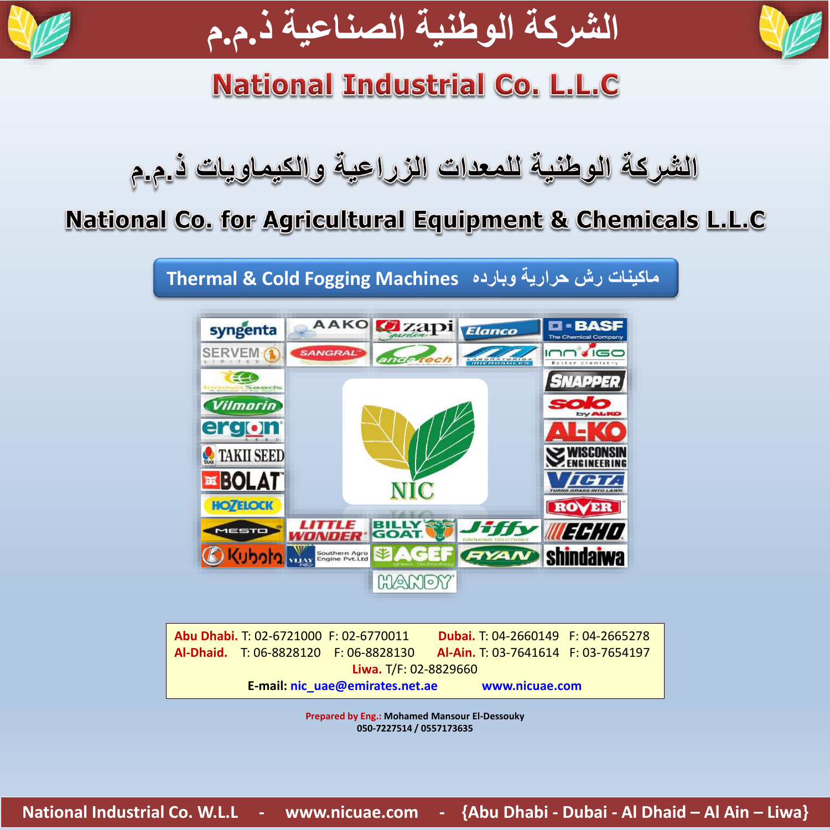



# **National Industrial Co. L.L.C**

## National Co. for Agricultural Equipment & Chemicals L.L.C

**ماكينات رش حرارية وبارده Machines Fogging Cold & Thermal**



|                       |                                 | Abu Dhabi. T: 02-6721000 F: 02-6770011 | <b>Dubai.</b> T: 04-2660149 F: 04-2665278 |  |
|-----------------------|---------------------------------|----------------------------------------|-------------------------------------------|--|
|                       |                                 | Al-Dhaid. T: 06-8828120 F: 06-8828130  | Al-Ain. T: 03-7641614 F: 03-7654197       |  |
| Liwa. T/F: 02-8829660 |                                 |                                        |                                           |  |
|                       | E-mail: nic uae@emirates.net.ae |                                        | www.nicuae.com                            |  |

**Prepared by Eng.: Mohamed Mansour El-Dessouky 050-7227514 / 0557173635**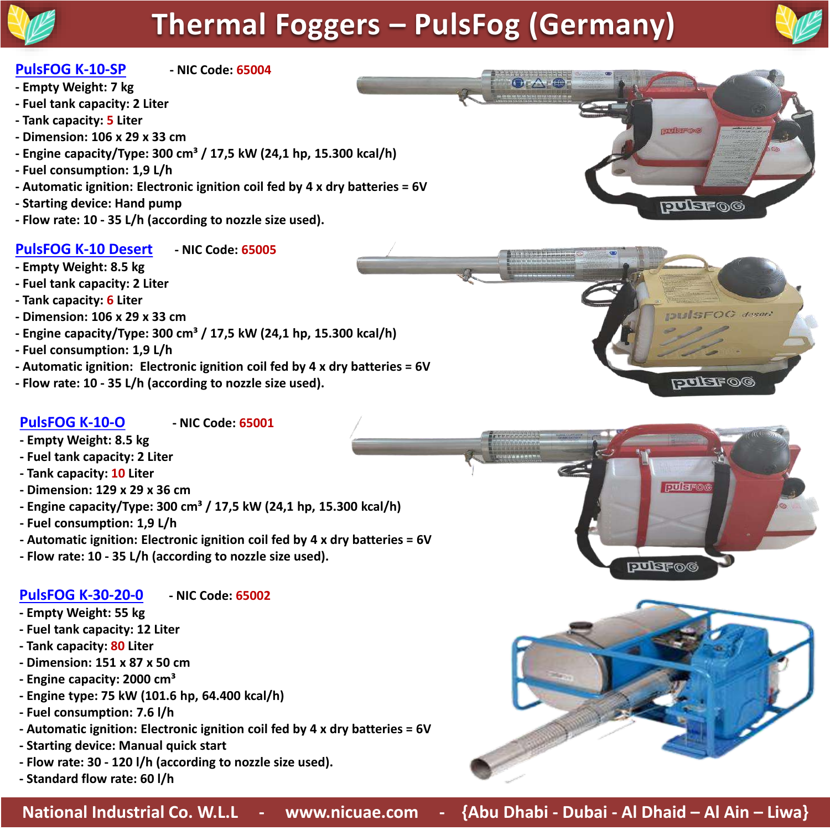# **Thermal Foggers – PulsFog (Germany)**



 $EFOG$  desert

**DO TELLET** 

pulsro

**PUBFOG** 

#### **PulsFOG K-10-SP - NIC Code: 65004**

- **- Empty Weight: 7 kg**
- **- Fuel tank capacity: 2 Liter**
- **- Tank capacity: 5 Liter**
- **- Dimension: 106 x 29 x 33 cm**
- **- Engine capacity/Type: 300 cm³ / 17,5 kW (24,1 hp, 15.300 kcal/h)**
- **- Fuel consumption: 1,9 L/h**
- **- Automatic ignition: Electronic ignition coil fed by 4 x dry batteries = 6V**
- **- Starting device: Hand pump**
- **- Flow rate: 10 - 35 L/h (according to nozzle size used).**

#### **PulsFOG K-10 Desert - NIC Code: 65005**

- **- Empty Weight: 8.5 kg**
- **- Fuel tank capacity: 2 Liter**
- **- Tank capacity: 6 Liter**
- **- Dimension: 106 x 29 x 33 cm**
- **- Engine capacity/Type: 300 cm³ / 17,5 kW (24,1 hp, 15.300 kcal/h)**
- **- Fuel consumption: 1,9 L/h**
- **- Automatic ignition: Electronic ignition coil fed by 4 x dry batteries = 6V**
- **- Flow rate: 10 - 35 L/h (according to nozzle size used).**

#### **PulsFOG K-10-O - NIC Code: 65001**

- **- Empty Weight: 8.5 kg**
- **- Fuel tank capacity: 2 Liter**
- **- Tank capacity: 10 Liter**
- **- Dimension: 129 x 29 x 36 cm**
- **- Engine capacity/Type: 300 cm³ / 17,5 kW (24,1 hp, 15.300 kcal/h)**
- **- Fuel consumption: 1,9 L/h**
- **- Automatic ignition: Electronic ignition coil fed by 4 x dry batteries = 6V**
- **- Flow rate: 10 - 35 L/h (according to nozzle size used).**

#### **PulsFOG K-30-20-0 - NIC Code: 65002**

- **- Empty Weight: 55 kg**
- **- Fuel tank capacity: 12 Liter**
- **- Tank capacity: 80 Liter**
- **- Dimension: 151 x 87 x 50 cm**
- **- Engine capacity: 2000 cm³**
- **- Engine type: 75 kW (101.6 hp, 64.400 kcal/h)**
- **- Fuel consumption: 7.6 l/h**
- **- Automatic ignition: Electronic ignition coil fed by 4 x dry batteries = 6V**
- **- Starting device: Manual quick start**
- **- Flow rate: 30 - 120 l/h (according to nozzle size used).**
- **- Standard flow rate: 60 l/h**



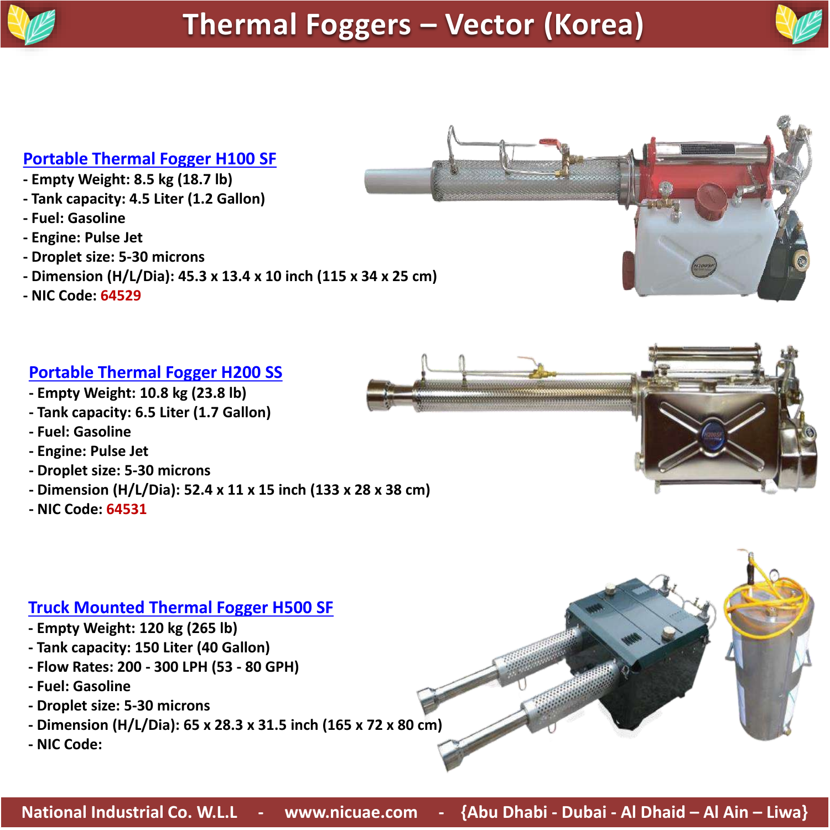

#### **Portable Thermal Fogger H100 SF**

- **- Empty Weight: 8.5 kg (18.7 lb)**
- **- Tank capacity: 4.5 Liter (1.2 Gallon)**
- **- Fuel: Gasoline**
- **- Engine: Pulse Jet**
- **- Droplet size: 5-30 microns**
- **- Dimension (H/L/Dia): 45.3 x 13.4 x 10 inch (115 x 34 x 25 cm)**
- **- NIC Code: 64529**

### **Portable Thermal Fogger H200 SS**

- **- Empty Weight: 10.8 kg (23.8 lb)**
- **- Tank capacity: 6.5 Liter (1.7 Gallon)**
- **- Fuel: Gasoline**
- **- Engine: Pulse Jet**
- **- Droplet size: 5-30 microns**
- **- Dimension (H/L/Dia): 52.4 x 11 x 15 inch (133 x 28 x 38 cm)**
- **- NIC Code: 64531**

### **Truck Mounted Thermal Fogger H500 SF**

- **- Empty Weight: 120 kg (265 lb)**
- **- Tank capacity: 150 Liter (40 Gallon)**
- **- Flow Rates: 200 - 300 LPH (53 - 80 GPH)**
- **- Fuel: Gasoline**
- **- Droplet size: 5-30 microns**
- **- Dimension (H/L/Dia): 65 x 28.3 x 31.5 inch (165 x 72 x 80 cm)**
- **- NIC Code:**



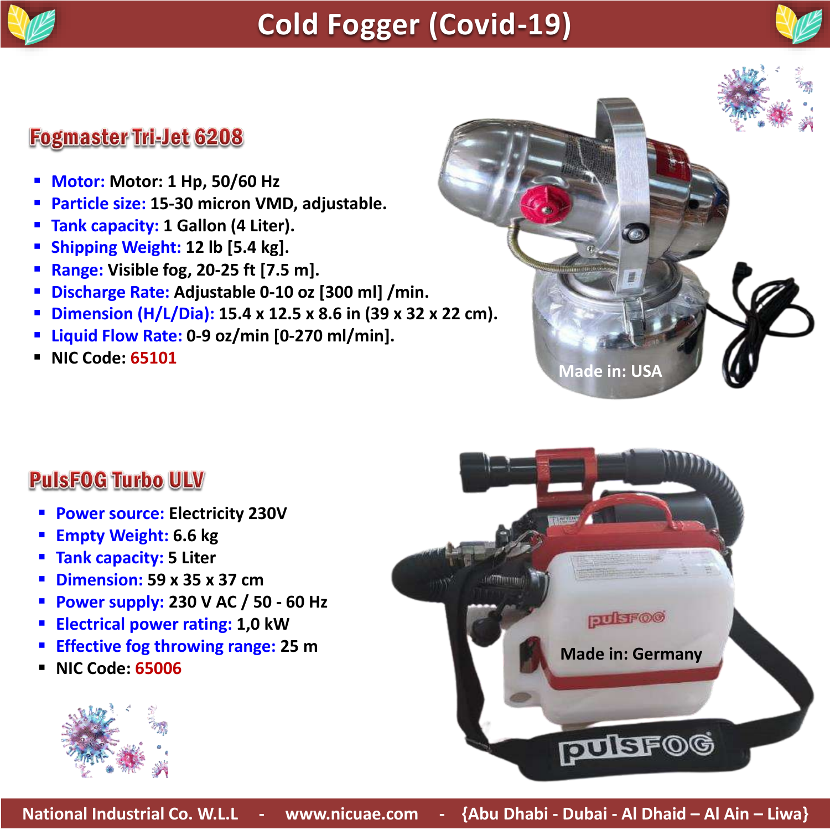

# **Cold Fogger (Covid-19)**



## **Fogmaster Tri-Jet 6208**

- **Motor: Motor: 1 Hp, 50/60 Hz**
- **Particle size: 15-30 micron VMD, adjustable.**
- **Tank capacity: 1 Gallon (4 Liter).**
- **Shipping Weight: 12 lb [5.4 kg].**
- **Range: Visible fog, 20-25 ft [7.5 m].**
- **Discharge Rate: Adjustable 0-10 oz [300 ml] /min.**
- **Dimension (H/L/Dia): 15.4 x 12.5 x 8.6 in (39 x 32 x 22 cm).**
- **Liquid Flow Rate: 0-9 oz/min [0-270 ml/min].**
- **NIC Code: 65101**



## **PulsFOG Turbo ULV**

- **Power source: Electricity 230V**
- **Empty Weight: 6.6 kg**
- **Tank capacity: 5 Liter**
- **Dimension: 59 x 35 x 37 cm**
- **Power supply: 230 V AC / 50 - 60 Hz**
- **Electrical power rating: 1,0 kW**
- **Effective fog throwing range: 25 m**
- **NIC Code: 65006**